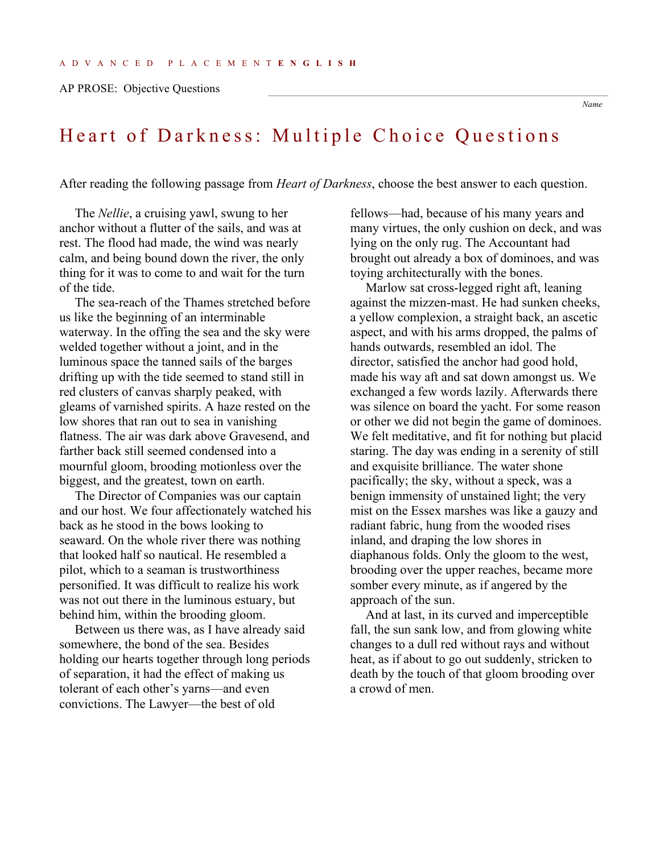AP PROSE: Objective Questions

## *Name*

## Heart of Darkness: Multiple Choice Questions

After reading the following passage from *Heart of Darkness*, choose the best answer to each question.

The *Nellie*, a cruising yawl, swung to her anchor without a flutter of the sails, and was at rest. The flood had made, the wind was nearly calm, and being bound down the river, the only thing for it was to come to and wait for the turn of the tide.

The sea-reach of the Thames stretched before us like the beginning of an interminable waterway. In the offing the sea and the sky were welded together without a joint, and in the luminous space the tanned sails of the barges drifting up with the tide seemed to stand still in red clusters of canvas sharply peaked, with gleams of varnished spirits. A haze rested on the low shores that ran out to sea in vanishing flatness. The air was dark above Gravesend, and farther back still seemed condensed into a mournful gloom, brooding motionless over the biggest, and the greatest, town on earth.

The Director of Companies was our captain and our host. We four affectionately watched his back as he stood in the bows looking to seaward. On the whole river there was nothing that looked half so nautical. He resembled a pilot, which to a seaman is trustworthiness personified. It was difficult to realize his work was not out there in the luminous estuary, but behind him, within the brooding gloom.

Between us there was, as I have already said somewhere, the bond of the sea. Besides holding our hearts together through long periods of separation, it had the effect of making us tolerant of each other's yarns—and even convictions. The Lawyer—the best of old

fellows—had, because of his many years and many virtues, the only cushion on deck, and was lying on the only rug. The Accountant had brought out already a box of dominoes, and was toying architecturally with the bones.

Marlow sat cross-legged right aft, leaning against the mizzen-mast. He had sunken cheeks, a yellow complexion, a straight back, an ascetic aspect, and with his arms dropped, the palms of hands outwards, resembled an idol. The director, satisfied the anchor had good hold, made his way aft and sat down amongst us. We exchanged a few words lazily. Afterwards there was silence on board the yacht. For some reason or other we did not begin the game of dominoes. We felt meditative, and fit for nothing but placid staring. The day was ending in a serenity of still and exquisite brilliance. The water shone pacifically; the sky, without a speck, was a benign immensity of unstained light; the very mist on the Essex marshes was like a gauzy and radiant fabric, hung from the wooded rises inland, and draping the low shores in diaphanous folds. Only the gloom to the west, brooding over the upper reaches, became more somber every minute, as if angered by the approach of the sun.

And at last, in its curved and imperceptible fall, the sun sank low, and from glowing white changes to a dull red without rays and without heat, as if about to go out suddenly, stricken to death by the touch of that gloom brooding over a crowd of men.